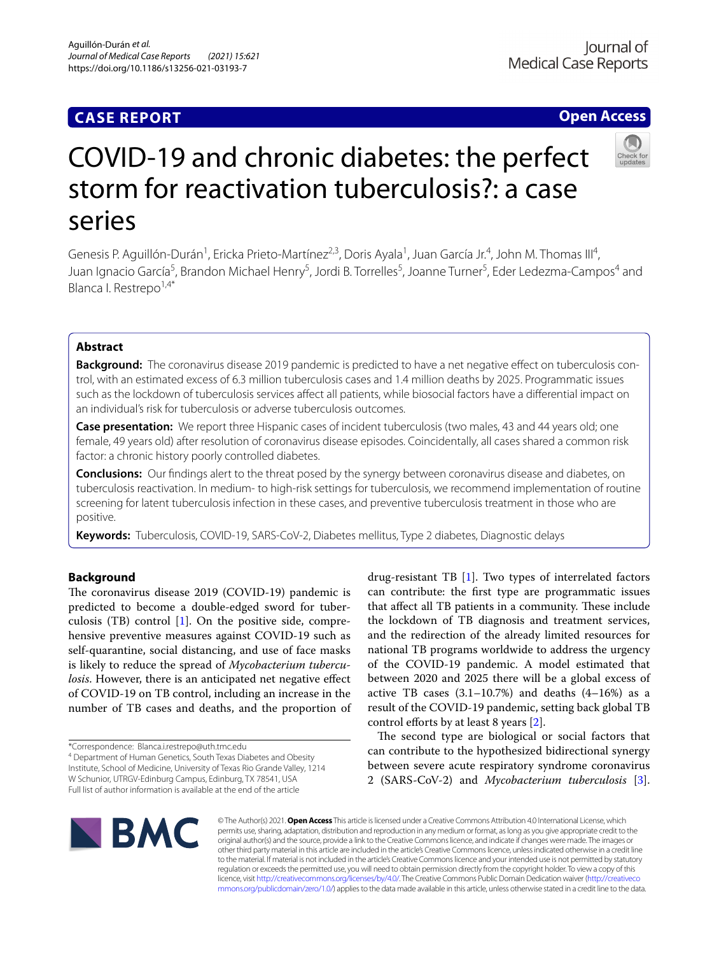### **CASE REPORT**

### **Open Access**



# COVID‑19 and chronic diabetes: the perfect storm for reactivation tuberculosis?: a case series

Genesis P. Aguillón-Durán<sup>1</sup>, Ericka Prieto-Martínez<sup>2,3</sup>, Doris Ayala<sup>1</sup>, Juan García Jr.<sup>4</sup>, John M. Thomas III<sup>4</sup>, Juan Ignacio García<sup>5</sup>, Brandon Michael Henry<sup>5</sup>, Jordi B. Torrelles<sup>5</sup>, Joanne Turner<sup>5</sup>, Eder Ledezma-Campos<sup>4</sup> and Blanca I. Restrepo1,4\*

#### **Abstract**

**Background:** The coronavirus disease 2019 pandemic is predicted to have a net negative effect on tuberculosis control, with an estimated excess of 6.3 million tuberculosis cases and 1.4 million deaths by 2025. Programmatic issues such as the lockdown of tuberculosis services afect all patients, while biosocial factors have a diferential impact on an individual's risk for tuberculosis or adverse tuberculosis outcomes.

**Case presentation:** We report three Hispanic cases of incident tuberculosis (two males, 43 and 44 years old; one female, 49 years old) after resolution of coronavirus disease episodes. Coincidentally, all cases shared a common risk factor: a chronic history poorly controlled diabetes.

**Conclusions:** Our fndings alert to the threat posed by the synergy between coronavirus disease and diabetes, on tuberculosis reactivation. In medium- to high-risk settings for tuberculosis, we recommend implementation of routine screening for latent tuberculosis infection in these cases, and preventive tuberculosis treatment in those who are positive.

**Keywords:** Tuberculosis, COVID-19, SARS-CoV-2, Diabetes mellitus, Type 2 diabetes, Diagnostic delays

#### **Background**

The coronavirus disease 2019 (COVID-19) pandemic is predicted to become a double-edged sword for tuberculosis (TB) control [[1](#page-3-0)]. On the positive side, comprehensive preventive measures against COVID-19 such as self-quarantine, social distancing, and use of face masks is likely to reduce the spread of *Mycobacterium tuberculosis*. However, there is an anticipated net negative effect of COVID-19 on TB control, including an increase in the number of TB cases and deaths, and the proportion of

\*Correspondence: Blanca.i.restrepo@uth.tmc.edu

<sup>4</sup> Department of Human Genetics, South Texas Diabetes and Obesity Institute, School of Medicine, University of Texas Rio Grande Valley, 1214 W Schunior, UTRGV‑Edinburg Campus, Edinburg, TX 78541, USA Full list of author information is available at the end of the article

drug-resistant TB [[1\]](#page-3-0). Two types of interrelated factors can contribute: the frst type are programmatic issues that affect all TB patients in a community. These include the lockdown of TB diagnosis and treatment services, and the redirection of the already limited resources for national TB programs worldwide to address the urgency of the COVID-19 pandemic. A model estimated that between 2020 and 2025 there will be a global excess of active TB cases  $(3.1-10.7%)$  and deaths  $(4-16%)$  as a result of the COVID-19 pandemic, setting back global TB control efforts by at least 8 years  $[2]$  $[2]$ .

The second type are biological or social factors that can contribute to the hypothesized bidirectional synergy between severe acute respiratory syndrome coronavirus 2 (SARS-CoV-2) and *Mycobacterium tuberculosis* [\[3](#page-3-2)].



© The Author(s) 2021. **Open Access** This article is licensed under a Creative Commons Attribution 4.0 International License, which permits use, sharing, adaptation, distribution and reproduction in any medium or format, as long as you give appropriate credit to the original author(s) and the source, provide a link to the Creative Commons licence, and indicate if changes were made. The images or other third party material in this article are included in the article's Creative Commons licence, unless indicated otherwise in a credit line to the material. If material is not included in the article's Creative Commons licence and your intended use is not permitted by statutory regulation or exceeds the permitted use, you will need to obtain permission directly from the copyright holder. To view a copy of this licence, visit [http://creativecommons.org/licenses/by/4.0/.](http://creativecommons.org/licenses/by/4.0/) The Creative Commons Public Domain Dedication waiver ([http://creativeco](http://creativecommons.org/publicdomain/zero/1.0/) [mmons.org/publicdomain/zero/1.0/](http://creativecommons.org/publicdomain/zero/1.0/)) applies to the data made available in this article, unless otherwise stated in a credit line to the data.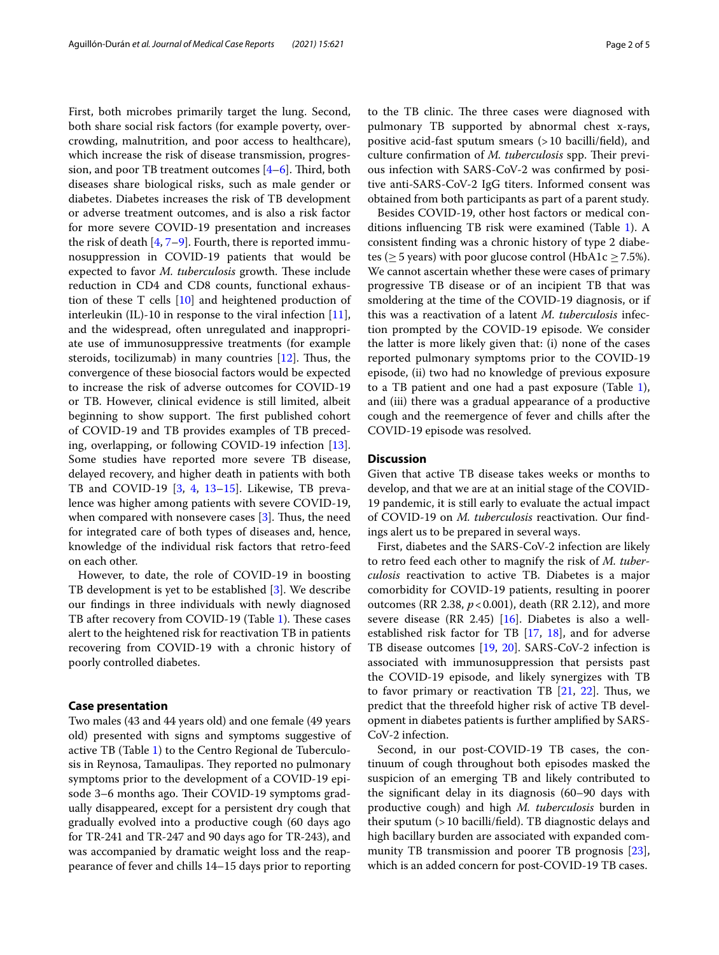First, both microbes primarily target the lung. Second, both share social risk factors (for example poverty, overcrowding, malnutrition, and poor access to healthcare), which increase the risk of disease transmission, progression, and poor TB treatment outcomes  $[4-6]$  $[4-6]$ . Third, both diseases share biological risks, such as male gender or diabetes. Diabetes increases the risk of TB development or adverse treatment outcomes, and is also a risk factor for more severe COVID-19 presentation and increases the risk of death [[4,](#page-3-3) [7](#page-3-5)–[9\]](#page-3-6). Fourth, there is reported immunosuppression in COVID-19 patients that would be expected to favor *M. tuberculosis* growth. These include reduction in CD4 and CD8 counts, functional exhaustion of these T cells [\[10](#page-3-7)] and heightened production of interleukin (IL)-10 in response to the viral infection [\[11](#page-3-8)], and the widespread, often unregulated and inappropriate use of immunosuppressive treatments (for example steroids, tocilizumab) in many countries  $[12]$  $[12]$  $[12]$ . Thus, the convergence of these biosocial factors would be expected to increase the risk of adverse outcomes for COVID-19 or TB. However, clinical evidence is still limited, albeit beginning to show support. The first published cohort of COVID-19 and TB provides examples of TB preceding, overlapping, or following COVID-19 infection [\[13](#page-3-10)]. Some studies have reported more severe TB disease, delayed recovery, and higher death in patients with both TB and COVID-19 [\[3](#page-3-2), [4,](#page-3-3) [13](#page-3-10)[–15](#page-4-0)]. Likewise, TB prevalence was higher among patients with severe COVID-19, when compared with nonsevere cases  $[3]$  $[3]$ . Thus, the need for integrated care of both types of diseases and, hence, knowledge of the individual risk factors that retro-feed on each other.

However, to date, the role of COVID-19 in boosting TB development is yet to be established [[3\]](#page-3-2). We describe our fndings in three individuals with newly diagnosed TB after recovery from COVID-19 (Table [1\)](#page-2-0). These cases alert to the heightened risk for reactivation TB in patients recovering from COVID-19 with a chronic history of poorly controlled diabetes.

#### **Case presentation**

Two males (43 and 44 years old) and one female (49 years old) presented with signs and symptoms suggestive of active TB (Table [1](#page-2-0)) to the Centro Regional de Tuberculosis in Reynosa, Tamaulipas. They reported no pulmonary symptoms prior to the development of a COVID-19 episode 3–6 months ago. Their COVID-19 symptoms gradually disappeared, except for a persistent dry cough that gradually evolved into a productive cough (60 days ago for TR-241 and TR-247 and 90 days ago for TR-243), and was accompanied by dramatic weight loss and the reappearance of fever and chills 14–15 days prior to reporting to the TB clinic. The three cases were diagnosed with pulmonary TB supported by abnormal chest x-rays, positive acid-fast sputum smears (>10 bacilli/feld), and culture confirmation of *M. tuberculosis* spp. Their previous infection with SARS-CoV-2 was confrmed by positive anti-SARS-CoV-2 IgG titers. Informed consent was obtained from both participants as part of a parent study.

Besides COVID-19, other host factors or medical conditions infuencing TB risk were examined (Table [1](#page-2-0)). A consistent fnding was a chronic history of type 2 diabetes ( $\geq$  5 years) with poor glucose control (HbA1c  $\geq$  7.5%). We cannot ascertain whether these were cases of primary progressive TB disease or of an incipient TB that was smoldering at the time of the COVID-19 diagnosis, or if this was a reactivation of a latent *M. tuberculosis* infection prompted by the COVID-19 episode. We consider the latter is more likely given that: (i) none of the cases reported pulmonary symptoms prior to the COVID-19 episode, (ii) two had no knowledge of previous exposure to a TB patient and one had a past exposure (Table [1](#page-2-0)), and (iii) there was a gradual appearance of a productive cough and the reemergence of fever and chills after the COVID-19 episode was resolved.

#### **Discussion**

Given that active TB disease takes weeks or months to develop, and that we are at an initial stage of the COVID-19 pandemic, it is still early to evaluate the actual impact of COVID-19 on *M. tuberculosis* reactivation. Our fndings alert us to be prepared in several ways.

First, diabetes and the SARS-CoV-2 infection are likely to retro feed each other to magnify the risk of *M. tuberculosis* reactivation to active TB. Diabetes is a major comorbidity for COVID-19 patients, resulting in poorer outcomes (RR 2.38, *p*<0.001), death (RR 2.12), and more severe disease (RR 2.45) [\[16](#page-4-1)]. Diabetes is also a wellestablished risk factor for TB  $[17, 18]$  $[17, 18]$  $[17, 18]$  $[17, 18]$ , and for adverse TB disease outcomes [\[19](#page-4-4), [20\]](#page-4-5). SARS-CoV-2 infection is associated with immunosuppression that persists past the COVID-19 episode, and likely synergizes with TB to favor primary or reactivation TB  $[21, 22]$  $[21, 22]$  $[21, 22]$  $[21, 22]$ . Thus, we predict that the threefold higher risk of active TB development in diabetes patients is further amplifed by SARS-CoV-2 infection.

Second, in our post-COVID-19 TB cases, the continuum of cough throughout both episodes masked the suspicion of an emerging TB and likely contributed to the signifcant delay in its diagnosis (60–90 days with productive cough) and high *M. tuberculosis* burden in their sputum (>10 bacilli/feld). TB diagnostic delays and high bacillary burden are associated with expanded community TB transmission and poorer TB prognosis [\[23](#page-4-8)], which is an added concern for post-COVID-19 TB cases.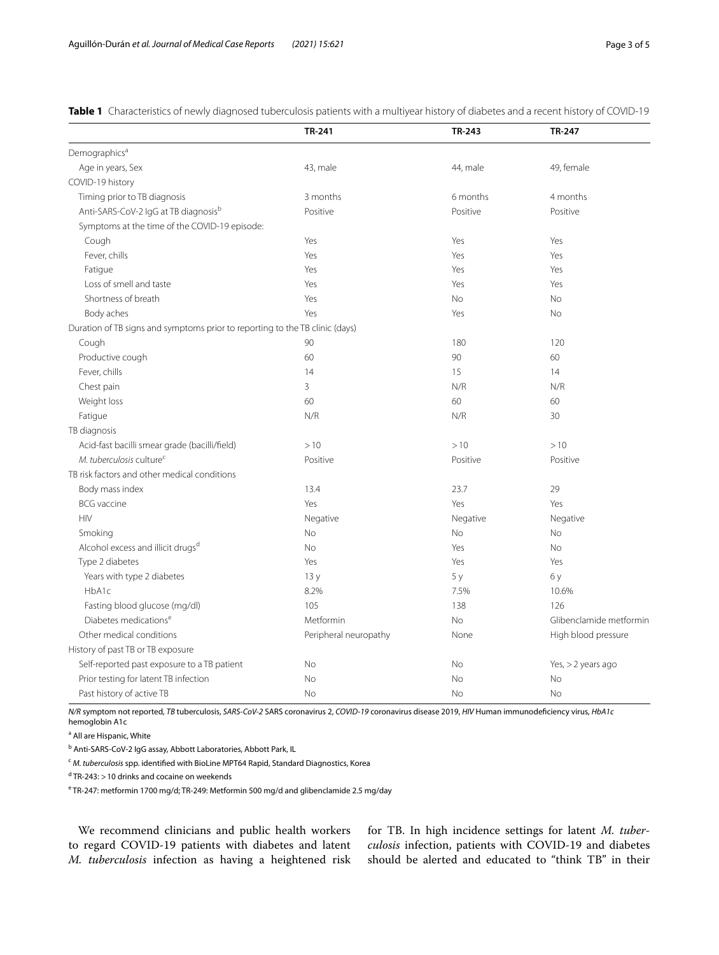|                                                                              | TR-241                | TR-243   | <b>TR-247</b>           |
|------------------------------------------------------------------------------|-----------------------|----------|-------------------------|
| Demographics <sup>a</sup>                                                    |                       |          |                         |
| Age in years, Sex                                                            | 43, male              | 44, male | 49, female              |
| COVID-19 history                                                             |                       |          |                         |
| Timing prior to TB diagnosis                                                 | 3 months              | 6 months | 4 months                |
| Anti-SARS-CoV-2 IgG at TB diagnosisb                                         | Positive              | Positive | Positive                |
| Symptoms at the time of the COVID-19 episode:                                |                       |          |                         |
| Cough                                                                        | Yes                   | Yes      | Yes                     |
| Fever, chills                                                                | Yes                   | Yes      | Yes                     |
| Fatigue                                                                      | Yes                   | Yes      | Yes                     |
| Loss of smell and taste                                                      | Yes                   | Yes      | Yes                     |
| Shortness of breath                                                          | Yes                   | No       | No                      |
| Body aches                                                                   | Yes                   | Yes      | <b>No</b>               |
| Duration of TB signs and symptoms prior to reporting to the TB clinic (days) |                       |          |                         |
| Cough                                                                        | 90                    | 180      | 120                     |
| Productive cough                                                             | 60                    | 90       | 60                      |
| Fever, chills                                                                | 14                    | 15       | 14                      |
| Chest pain                                                                   | $\overline{3}$        | N/R      | N/R                     |
| Weight loss                                                                  | 60                    | 60       | 60                      |
| Fatigue                                                                      | N/R                   | N/R      | 30                      |
| TB diagnosis                                                                 |                       |          |                         |
| Acid-fast bacilli smear grade (bacilli/field)                                | >10                   | >10      | >10                     |
| M. tuberculosis culture <sup>c</sup>                                         | Positive              | Positive | Positive                |
| TB risk factors and other medical conditions                                 |                       |          |                         |
| Body mass index                                                              | 13.4                  | 23.7     | 29                      |
| <b>BCG</b> vaccine                                                           | Yes                   | Yes      | Yes                     |
| <b>HIV</b>                                                                   | Negative              | Negative | Negative                |
| Smoking                                                                      | No                    | No       | No                      |
| Alcohol excess and illicit drugsd                                            | No                    | Yes      | No                      |
| Type 2 diabetes                                                              | Yes                   | Yes      | Yes                     |
| Years with type 2 diabetes                                                   | 13y                   | 5 y      | 6 y                     |
| HbA1c                                                                        | 8.2%                  | 7.5%     | 10.6%                   |
| Fasting blood glucose (mg/dl)                                                | 105                   | 138      | 126                     |
| Diabetes medications <sup>e</sup>                                            | Metformin             | No       | Glibenclamide metformin |
| Other medical conditions                                                     | Peripheral neuropathy | None     | High blood pressure     |
| History of past TB or TB exposure                                            |                       |          |                         |
| Self-reported past exposure to a TB patient                                  | No                    | No       | Yes, $>$ 2 years ago    |
| Prior testing for latent TB infection                                        | No                    | No       | No                      |
| Past history of active TB                                                    | No                    | No       | <b>No</b>               |

<span id="page-2-0"></span>**Table 1** Characteristics of newly diagnosed tuberculosis patients with a multiyear history of diabetes and a recent history of COVID-19

*N/R* symptom not reported, *TB* tuberculosis, *SARS-CoV-2* SARS coronavirus 2, *COVID-19* coronavirus disease 2019, *HIV* Human immunodefciency virus, *HbA1c* hemoglobin A1c

<sup>a</sup> All are Hispanic, White

<sup>b</sup> Anti-SARS-CoV-2 IgG assay, Abbott Laboratories, Abbott Park, IL

<sup>c</sup> *M. tuberculosis* spp. identifed with BioLine MPT64 Rapid, Standard Diagnostics, Korea

<sup>d</sup> TR-243: > 10 drinks and cocaine on weekends

<sup>e</sup> TR-247: metformin 1700 mg/d; TR-249: Metformin 500 mg/d and glibenclamide 2.5 mg/day

We recommend clinicians and public health workers to regard COVID-19 patients with diabetes and latent *M. tuberculosis* infection as having a heightened risk for TB. In high incidence settings for latent *M. tuberculosis* infection, patients with COVID-19 and diabetes should be alerted and educated to "think TB" in their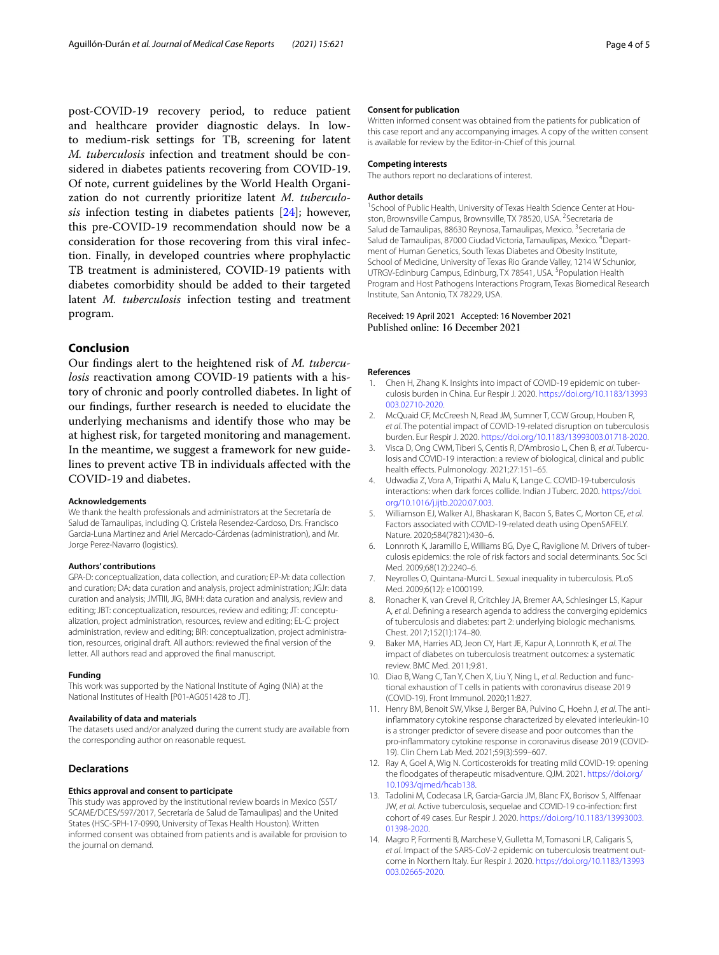post-COVID-19 recovery period, to reduce patient and healthcare provider diagnostic delays. In lowto medium-risk settings for TB, screening for latent *M. tuberculosis* infection and treatment should be considered in diabetes patients recovering from COVID-19. Of note, current guidelines by the World Health Organization do not currently prioritize latent *M. tuberculosis* infection testing in diabetes patients [[24](#page-4-9)]; however, this pre-COVID-19 recommendation should now be a consideration for those recovering from this viral infection. Finally, in developed countries where prophylactic TB treatment is administered, COVID-19 patients with diabetes comorbidity should be added to their targeted latent *M. tuberculosis* infection testing and treatment program.

#### **Conclusion**

Our fndings alert to the heightened risk of *M. tuberculosis* reactivation among COVID-19 patients with a history of chronic and poorly controlled diabetes. In light of our fndings, further research is needed to elucidate the underlying mechanisms and identify those who may be at highest risk, for targeted monitoring and management. In the meantime, we suggest a framework for new guidelines to prevent active TB in individuals afected with the COVID-19 and diabetes.

#### **Acknowledgements**

We thank the health professionals and administrators at the Secretaría de Salud de Tamaulipas, including Q. Cristela Resendez-Cardoso, Drs. Francisco Garcia-Luna Martinez and Ariel Mercado-Cárdenas (administration), and Mr. Jorge Perez-Navarro (logistics).

#### **Authors' contributions**

GPA-D: conceptualization, data collection, and curation; EP-M: data collection and curation; DA: data curation and analysis, project administration; JGJr: data curation and analysis; JMTIII, JIG, BMH: data curation and analysis, review and editing; JBT: conceptualization, resources, review and editing; JT: conceptualization, project administration, resources, review and editing; EL-C: project administration, review and editing; BIR: conceptualization, project administration, resources, original draft. All authors: reviewed the fnal version of the letter. All authors read and approved the fnal manuscript.

#### **Funding**

This work was supported by the National Institute of Aging (NIA) at the National Institutes of Health [P01-AG051428 to JT].

#### **Availability of data and materials**

The datasets used and/or analyzed during the current study are available from the corresponding author on reasonable request.

#### **Declarations**

#### **Ethics approval and consent to participate**

This study was approved by the institutional review boards in Mexico (SST/ SCAME/DCES/597/2017, Secretaría de Salud de Tamaulipas) and the United States (HSC-SPH-17-0990, University of Texas Health Houston). Written informed consent was obtained from patients and is available for provision to the journal on demand.

#### **Consent for publication**

Written informed consent was obtained from the patients for publication of this case report and any accompanying images. A copy of the written consent is available for review by the Editor-in-Chief of this journal.

#### **Competing interests**

The authors report no declarations of interest.

#### **Author details**

<sup>1</sup> School of Public Health, University of Texas Health Science Center at Houston, Brownsville Campus, Brownsville, TX 78520, USA. <sup>2</sup> Secretaria de Salud de Tamaulipas, 88630 Reynosa, Tamaulipas, Mexico. <sup>3</sup> Secretaria de Salud de Tamaulipas, 87000 Ciudad Victoria, Tamaulipas, Mexico. <sup>4</sup>Department of Human Genetics, South Texas Diabetes and Obesity Institute, School of Medicine, University of Texas Rio Grande Valley, 1214 W Schunior, UTRGV-Edinburg Campus, Edinburg, TX 78541, USA.<sup>5</sup> Population Health Program and Host Pathogens Interactions Program, Texas Biomedical Research Institute, San Antonio, TX 78229, USA.

## Received: 19 April 2021 Accepted: 16 November 2021

#### **References**

- <span id="page-3-0"></span>1. Chen H, Zhang K. Insights into impact of COVID-19 epidemic on tuberculosis burden in China. Eur Respir J. 2020. [https://doi.org/10.1183/13993](https://doi.org/10.1183/13993003.02710-2020) [003.02710-2020](https://doi.org/10.1183/13993003.02710-2020).
- <span id="page-3-1"></span>2. McQuaid CF, McCreesh N, Read JM, Sumner T, CCW Group, Houben R, *et al*. The potential impact of COVID-19-related disruption on tuberculosis burden. Eur Respir J. 2020. <https://doi.org/10.1183/13993003.01718-2020>.
- <span id="page-3-2"></span>3. Visca D, Ong CWM, Tiberi S, Centis R, D'Ambrosio L, Chen B, *et al*. Tubercu‑ losis and COVID-19 interaction: a review of biological, clinical and public health efects. Pulmonology. 2021;27:151–65.
- <span id="page-3-3"></span>4. Udwadia Z, Vora A, Tripathi A, Malu K, Lange C. COVID-19-tuberculosis interactions: when dark forces collide. Indian J Tuberc. 2020. [https://doi.](https://doi.org/10.1016/j.ijtb.2020.07.003) [org/10.1016/j.ijtb.2020.07.003.](https://doi.org/10.1016/j.ijtb.2020.07.003)
- 5. Williamson EJ, Walker AJ, Bhaskaran K, Bacon S, Bates C, Morton CE, *et al*. Factors associated with COVID-19-related death using OpenSAFELY. Nature. 2020;584(7821):430–6.
- <span id="page-3-4"></span>6. Lonnroth K, Jaramillo E, Williams BG, Dye C, Raviglione M. Drivers of tuberculosis epidemics: the role of risk factors and social determinants. Soc Sci Med. 2009;68(12):2240–6.
- <span id="page-3-5"></span>7. Neyrolles O, Quintana-Murci L. Sexual inequality in tuberculosis. PLoS Med. 2009;6(12): e1000199.
- 8. Ronacher K, van Crevel R, Critchley JA, Bremer AA, Schlesinger LS, Kapur A, *et al*. Defning a research agenda to address the converging epidemics of tuberculosis and diabetes: part 2: underlying biologic mechanisms. Chest. 2017;152(1):174–80.
- <span id="page-3-6"></span>9. Baker MA, Harries AD, Jeon CY, Hart JE, Kapur A, Lonnroth K, *et al*. The impact of diabetes on tuberculosis treatment outcomes: a systematic review. BMC Med. 2011;9:81.
- <span id="page-3-7"></span>10. Diao B, Wang C, Tan Y, Chen X, Liu Y, Ning L, *et al*. Reduction and func‑ tional exhaustion of T cells in patients with coronavirus disease 2019 (COVID-19). Front Immunol. 2020;11:827.
- <span id="page-3-8"></span>11. Henry BM, Benoit SW, Vikse J, Berger BA, Pulvino C, Hoehn J, *et al*. The antiinfammatory cytokine response characterized by elevated interleukin-10 is a stronger predictor of severe disease and poor outcomes than the pro-infammatory cytokine response in coronavirus disease 2019 (COVID-19). Clin Chem Lab Med. 2021;59(3):599–607.
- <span id="page-3-9"></span>12. Ray A, Goel A, Wig N. Corticosteroids for treating mild COVID-19: opening the foodgates of therapeutic misadventure. QJM. 2021. [https://doi.org/](https://doi.org/10.1093/qjmed/hcab138) [10.1093/qjmed/hcab138.](https://doi.org/10.1093/qjmed/hcab138)
- <span id="page-3-10"></span>13. Tadolini M, Codecasa LR, Garcia-Garcia JM, Blanc FX, Borisov S, Alfenaar JW, *et al*. Active tuberculosis, sequelae and COVID-19 co-infection: frst cohort of 49 cases. Eur Respir J. 2020. [https://doi.org/10.1183/13993003.](https://doi.org/10.1183/13993003.01398-2020) [01398-2020.](https://doi.org/10.1183/13993003.01398-2020)
- 14. Magro P, Formenti B, Marchese V, Gulletta M, Tomasoni LR, Caligaris S, *et al*. Impact of the SARS-CoV-2 epidemic on tuberculosis treatment out‑ come in Northern Italy. Eur Respir J. 2020. [https://doi.org/10.1183/13993](https://doi.org/10.1183/13993003.02665-2020) [003.02665-2020](https://doi.org/10.1183/13993003.02665-2020).